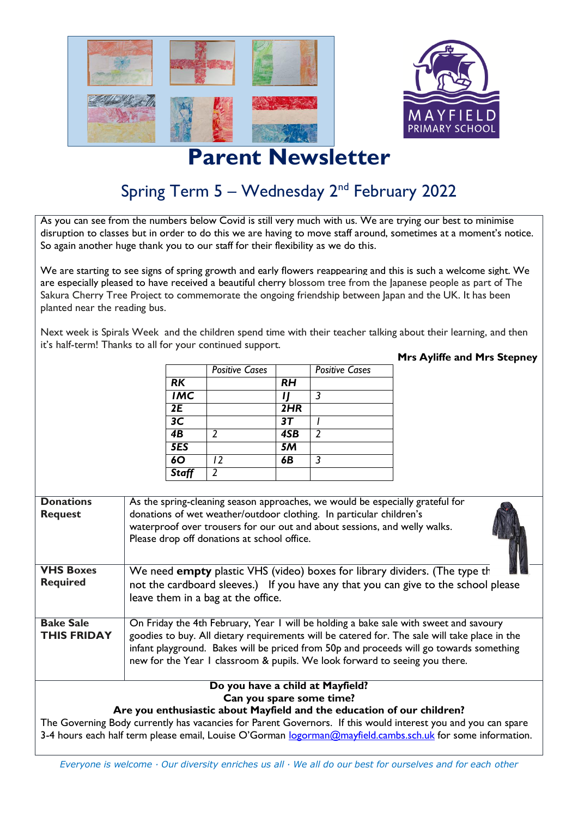

## **Parent Newsletter**

## Spring Term 5 – Wednesday 2<sup>nd</sup> February 2022

As you can see from the numbers below Covid is still very much with us. We are trying our best to minimise disruption to classes but in order to do this we are having to move staff around, sometimes at a moment's notice. So again another huge thank you to our staff for their flexibility as we do this.

We are starting to see signs of spring growth and early flowers reappearing and this is such a welcome sight. We are especially pleased to have received a beautiful cherry blossom tree from the Japanese people as part of The Sakura Cherry Tree Project to commemorate the ongoing friendship between Japan and the UK. It has been planted near the reading bus.

Next week is Spirals Week and the children spend time with their teacher talking about their learning, and then it's half-term! Thanks to all for your continued support.

|                 | <b>Positive Cases</b> |           | <b>Positive Cases</b> |
|-----------------|-----------------------|-----------|-----------------------|
| <b>RK</b>       |                       | <b>RH</b> |                       |
| <b>IMC</b>      |                       |           | २                     |
| 2E              |                       | 2HR       |                       |
| 3 <sub>C</sub>  |                       | 37        |                       |
| $\overline{AB}$ |                       | 4SB       |                       |
| 5ES             |                       | 5M        |                       |
| 60              | 12                    | 6Β        | २                     |
| <b>Staff</b>    |                       |           |                       |

## **Mrs Ayliffe and Mrs Stepney**

| <b>Donations</b><br><b>Request</b>                                                                            | As the spring-cleaning season approaches, we would be especially grateful for<br>donations of wet weather/outdoor clothing. In particular children's<br>waterproof over trousers for our out and about sessions, and welly walks.<br>Please drop off donations at school office. |  |  |  |
|---------------------------------------------------------------------------------------------------------------|----------------------------------------------------------------------------------------------------------------------------------------------------------------------------------------------------------------------------------------------------------------------------------|--|--|--|
| <b>VHS Boxes</b>                                                                                              | We need empty plastic VHS (video) boxes for library dividers. (The type th                                                                                                                                                                                                       |  |  |  |
| <b>Required</b>                                                                                               | not the cardboard sleeves.) If you have any that you can give to the school please<br>leave them in a bag at the office.                                                                                                                                                         |  |  |  |
| <b>Bake Sale</b>                                                                                              | On Friday the 4th February, Year 1 will be holding a bake sale with sweet and savoury                                                                                                                                                                                            |  |  |  |
| <b>THIS FRIDAY</b>                                                                                            | goodies to buy. All dietary requirements will be catered for. The sale will take place in the                                                                                                                                                                                    |  |  |  |
|                                                                                                               | infant playground. Bakes will be priced from 50p and proceeds will go towards something                                                                                                                                                                                          |  |  |  |
|                                                                                                               | new for the Year I classroom & pupils. We look forward to seeing you there.                                                                                                                                                                                                      |  |  |  |
|                                                                                                               |                                                                                                                                                                                                                                                                                  |  |  |  |
| Do you have a child at Mayfield?                                                                              |                                                                                                                                                                                                                                                                                  |  |  |  |
| Can you spare some time?                                                                                      |                                                                                                                                                                                                                                                                                  |  |  |  |
| Are you enthusiastic about Mayfield and the education of our children?                                        |                                                                                                                                                                                                                                                                                  |  |  |  |
| The Governing Body currently has vacancies for Parent Governors. If this would interest you and you can spare |                                                                                                                                                                                                                                                                                  |  |  |  |
| 3-4 hours each half term please email, Louise O'Gorman logorman@mayfield.cambs.sch.uk for some information.   |                                                                                                                                                                                                                                                                                  |  |  |  |

*Everyone is welcome · Our diversity enriches us all · We all do our best for ourselves and for each other*